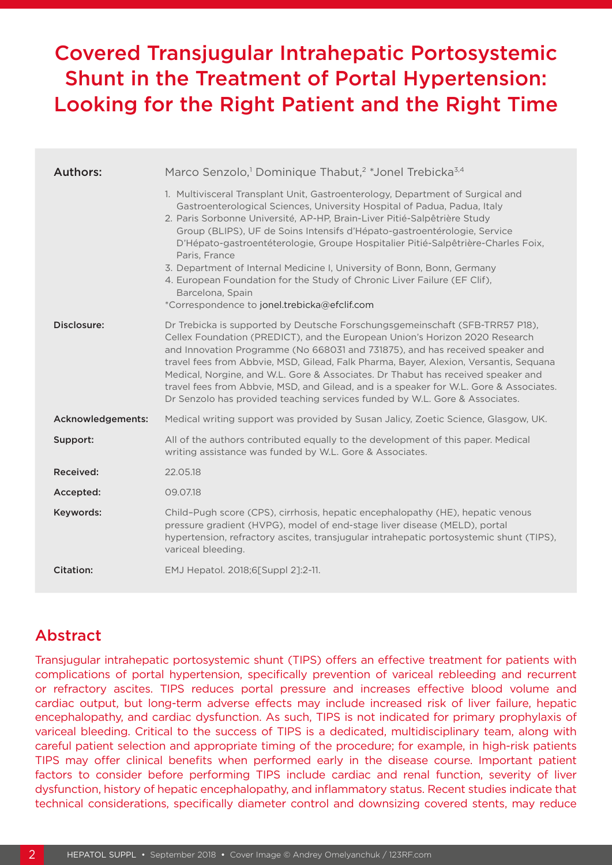# Covered Transjugular Intrahepatic Portosystemic Shunt in the Treatment of Portal Hypertension: Looking for the Right Patient and the Right Time

| <b>Authors:</b>   | Marco Senzolo, <sup>1</sup> Dominique Thabut, <sup>2</sup> *Jonel Trebicka <sup>3,4</sup>                                                                                                                                                                                                                                                                                                                                                                                                                                                                                                                                                          |  |  |  |  |
|-------------------|----------------------------------------------------------------------------------------------------------------------------------------------------------------------------------------------------------------------------------------------------------------------------------------------------------------------------------------------------------------------------------------------------------------------------------------------------------------------------------------------------------------------------------------------------------------------------------------------------------------------------------------------------|--|--|--|--|
|                   | 1. Multivisceral Transplant Unit, Gastroenterology, Department of Surgical and<br>Gastroenterological Sciences, University Hospital of Padua, Padua, Italy<br>2. Paris Sorbonne Université, AP-HP, Brain-Liver Pitié-Salpêtrière Study<br>Group (BLIPS), UF de Soins Intensifs d'Hépato-gastroentérologie, Service<br>D'Hépato-gastroentéterologie, Groupe Hospitalier Pitié-Salpêtrière-Charles Foix,<br>Paris, France<br>3. Department of Internal Medicine I, University of Bonn, Bonn, Germany<br>4. European Foundation for the Study of Chronic Liver Failure (EF Clif),<br>Barcelona, Spain<br>*Correspondence to jonel.trebicka@efclif.com |  |  |  |  |
| Disclosure:       | Dr Trebicka is supported by Deutsche Forschungsgemeinschaft (SFB-TRR57 P18),<br>Cellex Foundation (PREDICT), and the European Union's Horizon 2020 Research<br>and Innovation Programme (No 668031 and 731875), and has received speaker and<br>travel fees from Abbvie, MSD, Gilead, Falk Pharma, Bayer, Alexion, Versantis, Sequana<br>Medical, Norgine, and W.L. Gore & Associates. Dr Thabut has received speaker and<br>travel fees from Abbvie, MSD, and Gilead, and is a speaker for W.L. Gore & Associates.<br>Dr Senzolo has provided teaching services funded by W.L. Gore & Associates.                                                 |  |  |  |  |
| Acknowledgements: | Medical writing support was provided by Susan Jalicy, Zoetic Science, Glasgow, UK.                                                                                                                                                                                                                                                                                                                                                                                                                                                                                                                                                                 |  |  |  |  |
| Support:          | All of the authors contributed equally to the development of this paper. Medical<br>writing assistance was funded by W.L. Gore & Associates.                                                                                                                                                                                                                                                                                                                                                                                                                                                                                                       |  |  |  |  |
| Received:         | 22.05.18                                                                                                                                                                                                                                                                                                                                                                                                                                                                                                                                                                                                                                           |  |  |  |  |
| Accepted:         | 09.07.18                                                                                                                                                                                                                                                                                                                                                                                                                                                                                                                                                                                                                                           |  |  |  |  |
| Keywords:         | Child-Pugh score (CPS), cirrhosis, hepatic encephalopathy (HE), hepatic venous<br>pressure gradient (HVPG), model of end-stage liver disease (MELD), portal<br>hypertension, refractory ascites, transjugular intrahepatic portosystemic shunt (TIPS),<br>variceal bleeding.                                                                                                                                                                                                                                                                                                                                                                       |  |  |  |  |
| Citation:         | EMJ Hepatol. 2018;6[Suppl 2]:2-11.                                                                                                                                                                                                                                                                                                                                                                                                                                                                                                                                                                                                                 |  |  |  |  |
|                   |                                                                                                                                                                                                                                                                                                                                                                                                                                                                                                                                                                                                                                                    |  |  |  |  |

# Abstract

Transjugular intrahepatic portosystemic shunt (TIPS) offers an effective treatment for patients with complications of portal hypertension, specifically prevention of variceal rebleeding and recurrent or refractory ascites. TIPS reduces portal pressure and increases effective blood volume and cardiac output, but long-term adverse effects may include increased risk of liver failure, hepatic encephalopathy, and cardiac dysfunction. As such, TIPS is not indicated for primary prophylaxis of variceal bleeding. Critical to the success of TIPS is a dedicated, multidisciplinary team, along with careful patient selection and appropriate timing of the procedure; for example, in high-risk patients TIPS may offer clinical benefits when performed early in the disease course. Important patient factors to consider before performing TIPS include cardiac and renal function, severity of liver dysfunction, history of hepatic encephalopathy, and inflammatory status. Recent studies indicate that technical considerations, specifically diameter control and downsizing covered stents, may reduce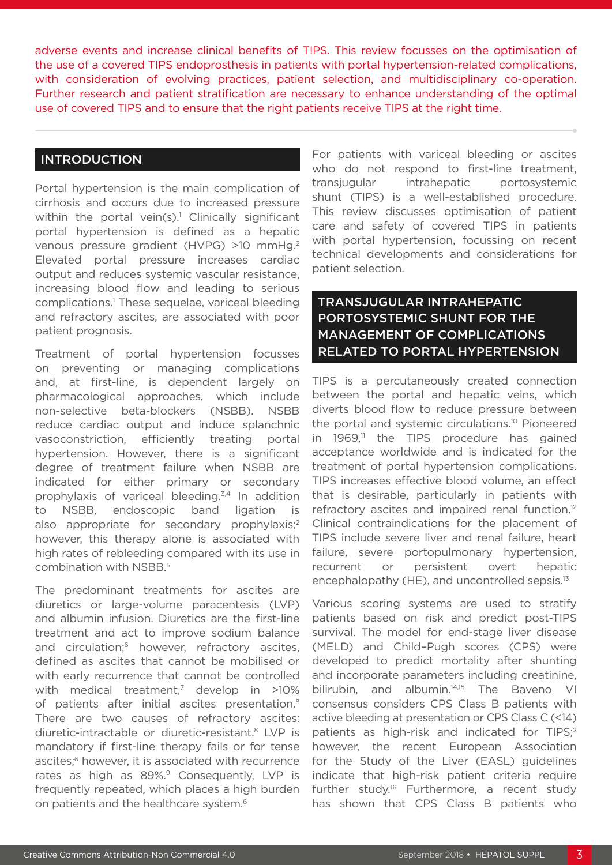adverse events and increase clinical benefits of TIPS. This review focusses on the optimisation of the use of a covered TIPS endoprosthesis in patients with portal hypertension-related complications, with consideration of evolving practices, patient selection, and multidisciplinary co-operation. Further research and patient stratification are necessary to enhance understanding of the optimal use of covered TIPS and to ensure that the right patients receive TIPS at the right time.

#### INTRODUCTION

Portal hypertension is the main complication of cirrhosis and occurs due to increased pressure within the portal vein $(s)$ .<sup>1</sup> Clinically significant portal hypertension is defined as a hepatic venous pressure gradient (HVPG) >10 mmHg.2 Elevated portal pressure increases cardiac output and reduces systemic vascular resistance, increasing blood flow and leading to serious complications.1 These sequelae, variceal bleeding and refractory ascites, are associated with poor patient prognosis.

Treatment of portal hypertension focusses on preventing or managing complications and, at first-line, is dependent largely on pharmacological approaches, which include non-selective beta-blockers (NSBB). NSBB reduce cardiac output and induce splanchnic vasoconstriction, efficiently treating portal hypertension. However, there is a significant degree of treatment failure when NSBB are indicated for either primary or secondary prophylaxis of variceal bleeding.<sup>3,4</sup> In addition to NSBB, endoscopic band ligation is also appropriate for secondary prophylaxis;<sup>2</sup> however, this therapy alone is associated with high rates of rebleeding compared with its use in combination with NSBB.5

The predominant treatments for ascites are diuretics or large-volume paracentesis (LVP) and albumin infusion. Diuretics are the first-line treatment and act to improve sodium balance and circulation:<sup>6</sup> however, refractory ascites, defined as ascites that cannot be mobilised or with early recurrence that cannot be controlled with medical treatment, $7$  develop in  $>10\%$ of patients after initial ascites presentation.<sup>8</sup> There are two causes of refractory ascites: diuretic-intractable or diuretic-resistant.8 LVP is mandatory if first-line therapy fails or for tense ascites;<sup>6</sup> however, it is associated with recurrence rates as high as 89%.<sup>9</sup> Consequently, LVP is frequently repeated, which places a high burden on patients and the healthcare system.<sup>6</sup>

For patients with variceal bleeding or ascites who do not respond to first-line treatment, transjugular intrahepatic portosystemic shunt (TIPS) is a well-established procedure. This review discusses optimisation of patient care and safety of covered TIPS in patients with portal hypertension, focussing on recent technical developments and considerations for patient selection.

# TRANSJUGULAR INTRAHEPATIC PORTOSYSTEMIC SHUNT FOR THE MANAGEMENT OF COMPLICATIONS RELATED TO PORTAL HYPERTENSION

TIPS is a percutaneously created connection between the portal and hepatic veins, which diverts blood flow to reduce pressure between the portal and systemic circulations.<sup>10</sup> Pioneered in 1969,<sup>11</sup> the TIPS procedure has gained acceptance worldwide and is indicated for the treatment of portal hypertension complications. TIPS increases effective blood volume, an effect that is desirable, particularly in patients with refractory ascites and impaired renal function.<sup>12</sup> Clinical contraindications for the placement of TIPS include severe liver and renal failure, heart failure, severe portopulmonary hypertension, recurrent or persistent overt hepatic encephalopathy (HE), and uncontrolled sepsis.<sup>13</sup>

Various scoring systems are used to stratify patients based on risk and predict post-TIPS survival. The model for end-stage liver disease (MELD) and Child–Pugh scores (CPS) were developed to predict mortality after shunting and incorporate parameters including creatinine, bilirubin, and albumin.<sup>14,15</sup> The Baveno VI consensus considers CPS Class B patients with active bleeding at presentation or CPS Class C (<14) patients as high-risk and indicated for TIPS;<sup>2</sup> however, the recent European Association for the Study of the Liver (EASL) guidelines indicate that high-risk patient criteria require further study.<sup>16</sup> Furthermore, a recent study has shown that CPS Class B patients who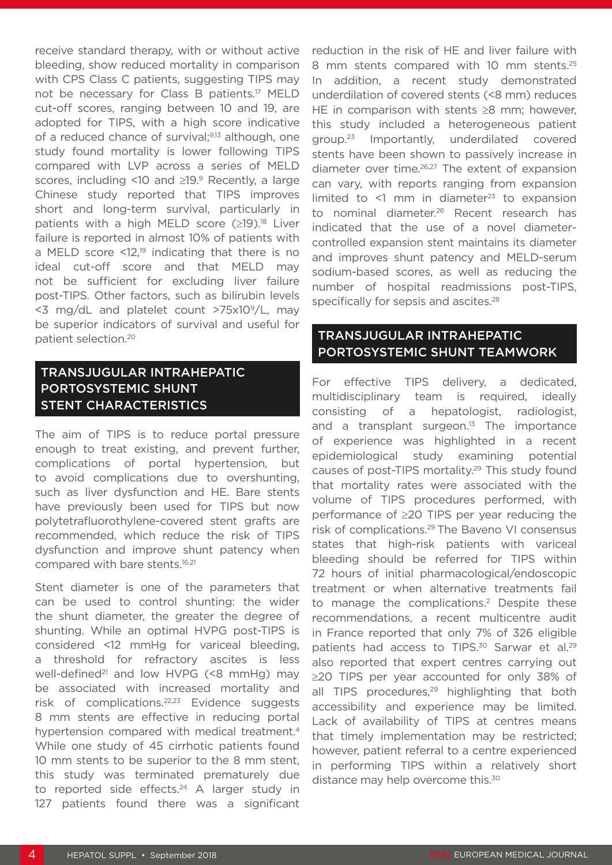receive standard therapy, with or without active bleeding, show reduced mortality in comparison with CPS Class C patients, suggesting TIPS may not be necessary for Class B patients.17 MELD cut-off scores, ranging between 10 and 19, are adopted for TIPS, with a high score indicative of a reduced chance of survival;<sup>9,13</sup> although, one study found mortality is lower following TIPS compared with LVP across a series of MELD scores, including <10 and  $\geq$ 19.9 Recently, a large Chinese study reported that TIPS improves short and long-term survival, particularly in patients with a high MELD score  $(≥19).^{18}$  Liver failure is reported in almost 10% of patients with a MELD score  $\leq 12$ ,<sup>19</sup> indicating that there is no ideal cut-off score and that MELD may not be sufficient for excluding liver failure post-TIPS. Other factors, such as bilirubin levels  $<$ 3 mg/dL and platelet count >75x10 $^{\circ}$ /L, may be superior indicators of survival and useful for patient selection.20

# TRANSJUGULAR INTRAHEPATIC PORTOSYSTEMIC SHUNT STENT CHARACTERISTICS

The aim of TIPS is to reduce portal pressure enough to treat existing, and prevent further, complications of portal hypertension, but to avoid complications due to overshunting, such as liver dysfunction and HE. Bare stents have previously been used for TIPS but now polytetrafluorothylene-covered stent grafts are recommended, which reduce the risk of TIPS dysfunction and improve shunt patency when compared with bare stents.<sup>16,21</sup>

Stent diameter is one of the parameters that can be used to control shunting: the wider the shunt diameter, the greater the degree of shunting. While an optimal HVPG post-TIPS is considered <12 mmHg for variceal bleeding, a threshold for refractory ascites is less well-defined<sup>21</sup> and low HVPG  $(58 \text{ mmHg})$  may be associated with increased mortality and risk of complications.22,23 Evidence suggests 8 mm stents are effective in reducing portal hypertension compared with medical treatment.<sup>4</sup> While one study of 45 cirrhotic patients found 10 mm stents to be superior to the 8 mm stent, this study was terminated prematurely due to reported side effects.<sup>24</sup> A larger study in 127 patients found there was a significant

reduction in the risk of HE and liver failure with 8 mm stents compared with 10 mm stents.<sup>25</sup> In addition, a recent study demonstrated underdilation of covered stents (<8 mm) reduces HE in comparison with stents ≥8 mm; however, this study included a heterogeneous patient group.23 Importantly, underdilated covered stents have been shown to passively increase in diameter over time.26,27 The extent of expansion can vary, with reports ranging from expansion limited to  $\leq$ 1 mm in diameter<sup>23</sup> to expansion to nominal diameter.<sup>26</sup> Recent research has indicated that the use of a novel diametercontrolled expansion stent maintains its diameter and improves shunt patency and MELD-serum sodium-based scores, as well as reducing the number of hospital readmissions post-TIPS, specifically for sepsis and ascites.<sup>28</sup>

## TRANSJUGULAR INTRAHEPATIC PORTOSYSTEMIC SHUNT TEAMWORK

For effective TIPS delivery, a dedicated, multidisciplinary team is required, ideally consisting of a hepatologist, radiologist, and a transplant surgeon. $13$  The importance of experience was highlighted in a recent epidemiological study examining potential causes of post-TIPS mortality.<sup>29</sup> This study found that mortality rates were associated with the volume of TIPS procedures performed, with performance of ≥20 TIPS per year reducing the risk of complications.<sup>29</sup> The Baveno VI consensus states that high-risk patients with variceal bleeding should be referred for TIPS within 72 hours of initial pharmacological/endoscopic treatment or when alternative treatments fail to manage the complications.<sup>2</sup> Despite these recommendations, a recent multicentre audit in France reported that only 7% of 326 eligible patients had access to TIPS.<sup>30</sup> Sarwar et al.<sup>29</sup> also reported that expert centres carrying out ≥20 TIPS per year accounted for only 38% of all TIPS procedures,<sup>29</sup> highlighting that both accessibility and experience may be limited. Lack of availability of TIPS at centres means that timely implementation may be restricted; however, patient referral to a centre experienced in performing TIPS within a relatively short distance may help overcome this.<sup>30</sup>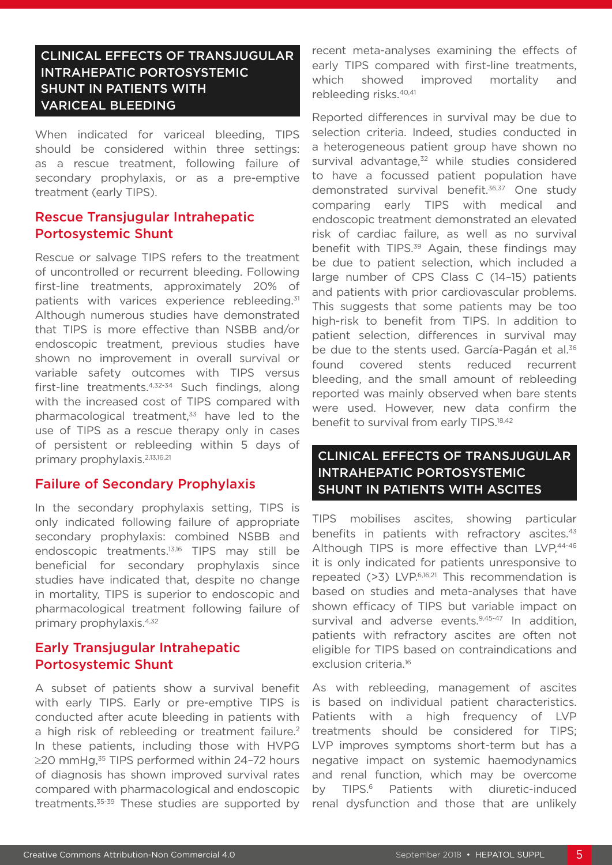# CLINICAL EFFECTS OF TRANSJUGULAR INTRAHEPATIC PORTOSYSTEMIC SHUNT IN PATIENTS WITH VARICEAL BLEEDING

When indicated for variceal bleeding, TIPS should be considered within three settings: as a rescue treatment, following failure of secondary prophylaxis, or as a pre-emptive treatment (early TIPS).

## Rescue Transjugular Intrahepatic Portosystemic Shunt

Rescue or salvage TIPS refers to the treatment of uncontrolled or recurrent bleeding. Following first-line treatments, approximately 20% of patients with varices experience rebleeding.<sup>31</sup> Although numerous studies have demonstrated that TIPS is more effective than NSBB and/or endoscopic treatment, previous studies have shown no improvement in overall survival or variable safety outcomes with TIPS versus first-line treatments.<sup>4,32-34</sup> Such findings, along with the increased cost of TIPS compared with pharmacological treatment, $33$  have led to the use of TIPS as a rescue therapy only in cases of persistent or rebleeding within 5 days of primary prophylaxis.2,13,16,21

#### Failure of Secondary Prophylaxis

In the secondary prophylaxis setting, TIPS is only indicated following failure of appropriate secondary prophylaxis: combined NSBB and endoscopic treatments.13,16 TIPS may still be beneficial for secondary prophylaxis since studies have indicated that, despite no change in mortality, TIPS is superior to endoscopic and pharmacological treatment following failure of primary prophylaxis.4,32

## Early Transjugular Intrahepatic Portosystemic Shunt

A subset of patients show a survival benefit with early TIPS. Early or pre-emptive TIPS is conducted after acute bleeding in patients with a high risk of rebleeding or treatment failure.<sup>2</sup> In these patients, including those with HVPG ≥20 mmHg.<sup>35</sup> TIPS performed within 24-72 hours of diagnosis has shown improved survival rates compared with pharmacological and endoscopic treatments.<sup>35-39</sup> These studies are supported by

recent meta-analyses examining the effects of early TIPS compared with first-line treatments, which showed improved mortality and rebleeding risks.40,41

Reported differences in survival may be due to selection criteria. Indeed, studies conducted in a heterogeneous patient group have shown no survival advantage,<sup>32</sup> while studies considered to have a focussed patient population have demonstrated survival benefit.36,37 One study comparing early TIPS with medical and endoscopic treatment demonstrated an elevated risk of cardiac failure, as well as no survival benefit with TIPS.<sup>39</sup> Again, these findings may be due to patient selection, which included a large number of CPS Class C (14–15) patients and patients with prior cardiovascular problems. This suggests that some patients may be too high-risk to benefit from TIPS. In addition to patient selection, differences in survival may be due to the stents used. García-Pagán et al.<sup>36</sup> found covered stents reduced recurrent bleeding, and the small amount of rebleeding reported was mainly observed when bare stents were used. However, new data confirm the benefit to survival from early TIPS.<sup>18,42</sup>

# CLINICAL EFFECTS OF TRANSJUGULAR INTRAHEPATIC PORTOSYSTEMIC SHUNT IN PATIENTS WITH ASCITES

TIPS mobilises ascites, showing particular benefits in patients with refractory ascites.<sup>43</sup> Although TIPS is more effective than LVP,44-46 it is only indicated for patients unresponsive to repeated  $($ >3) LVP.<sup>6,16,21</sup> This recommendation is based on studies and meta-analyses that have shown efficacy of TIPS but variable impact on survival and adverse events.<sup>9,45-47</sup> In addition, patients with refractory ascites are often not eligible for TIPS based on contraindications and exclusion criteria.<sup>16</sup>

As with rebleeding, management of ascites is based on individual patient characteristics. Patients with a high frequency of LVP treatments should be considered for TIPS; LVP improves symptoms short-term but has a negative impact on systemic haemodynamics and renal function, which may be overcome by TIPS.<sup>6</sup> Patients with diuretic-induced renal dysfunction and those that are unlikely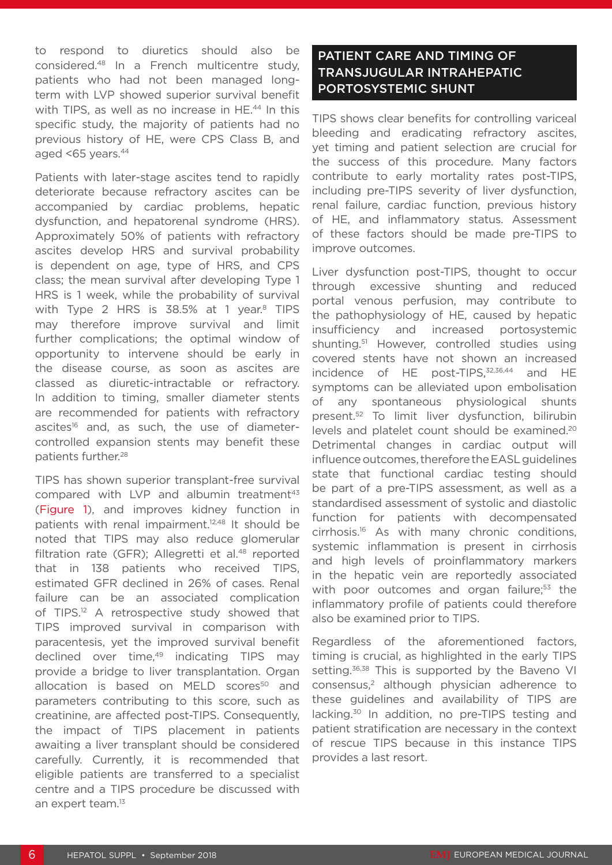to respond to diuretics should also be considered.48 In a French multicentre study, patients who had not been managed longterm with LVP showed superior survival benefit with TIPS, as well as no increase in HE.<sup>44</sup> In this specific study, the majority of patients had no previous history of HE, were CPS Class B, and aged  $<65$  years. $44$ 

Patients with later-stage ascites tend to rapidly deteriorate because refractory ascites can be accompanied by cardiac problems, hepatic dysfunction, and hepatorenal syndrome (HRS). Approximately 50% of patients with refractory ascites develop HRS and survival probability is dependent on age, type of HRS, and CPS class; the mean survival after developing Type 1 HRS is 1 week, while the probability of survival with Type 2 HRS is  $38.5\%$  at 1 year.<sup>8</sup> TIPS may therefore improve survival and limit further complications; the optimal window of opportunity to intervene should be early in the disease course, as soon as ascites are classed as diuretic-intractable or refractory. In addition to timing, smaller diameter stents are recommended for patients with refractory ascites<sup>16</sup> and, as such, the use of diametercontrolled expansion stents may benefit these patients further.<sup>28</sup>

TIPS has shown superior transplant-free survival compared with LVP and albumin treatment<sup>43</sup> (Figure 1), and improves kidney function in patients with renal impairment.12,48 It should be noted that TIPS may also reduce glomerular filtration rate (GFR); Allegretti et al.<sup>48</sup> reported that in 138 patients who received TIPS, estimated GFR declined in 26% of cases. Renal failure can be an associated complication of TIPS.<sup>12</sup> A retrospective study showed that TIPS improved survival in comparison with paracentesis, yet the improved survival benefit declined over time,<sup>49</sup> indicating TIPS may provide a bridge to liver transplantation. Organ allocation is based on MELD scores<sup>50</sup> and parameters contributing to this score, such as creatinine, are affected post-TIPS. Consequently, the impact of TIPS placement in patients awaiting a liver transplant should be considered carefully. Currently, it is recommended that eligible patients are transferred to a specialist centre and a TIPS procedure be discussed with an expert team.<sup>13</sup>

# PATIENT CARE AND TIMING OF TRANSJUGULAR INTRAHEPATIC PORTOSYSTEMIC SHUNT

TIPS shows clear benefits for controlling variceal bleeding and eradicating refractory ascites, yet timing and patient selection are crucial for the success of this procedure. Many factors contribute to early mortality rates post-TIPS, including pre-TIPS severity of liver dysfunction, renal failure, cardiac function, previous history of HE, and inflammatory status. Assessment of these factors should be made pre-TIPS to improve outcomes.

Liver dysfunction post-TIPS, thought to occur through excessive shunting and reduced portal venous perfusion, may contribute to the pathophysiology of HE, caused by hepatic insufficiency and increased portosystemic shunting.51 However, controlled studies using covered stents have not shown an increased incidence of HE post-TIPS,<sup>32,36,44</sup> and HE symptoms can be alleviated upon embolisation of any spontaneous physiological shunts present.52 To limit liver dysfunction, bilirubin levels and platelet count should be examined.20 Detrimental changes in cardiac output will influence outcomes, therefore the EASL guidelines state that functional cardiac testing should be part of a pre-TIPS assessment, as well as a standardised assessment of systolic and diastolic function for patients with decompensated cirrhosis.16 As with many chronic conditions, systemic inflammation is present in cirrhosis and high levels of proinflammatory markers in the hepatic vein are reportedly associated with poor outcomes and organ failure;<sup>53</sup> the inflammatory profile of patients could therefore also be examined prior to TIPS.

Regardless of the aforementioned factors, timing is crucial, as highlighted in the early TIPS setting.<sup>36,38</sup> This is supported by the Baveno VI consensus,2 although physician adherence to these guidelines and availability of TIPS are lacking.30 In addition, no pre-TIPS testing and patient stratification are necessary in the context of rescue TIPS because in this instance TIPS provides a last resort.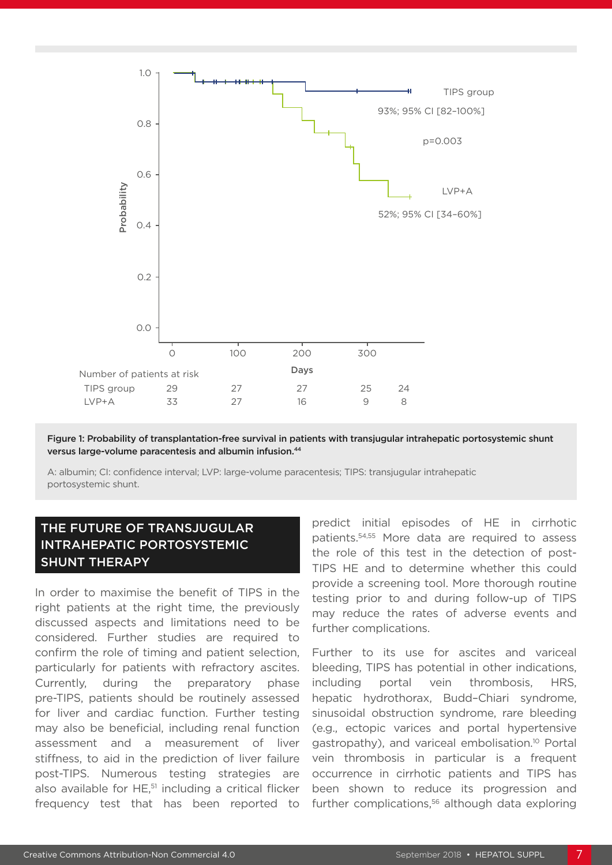

Figure 1: Probability of transplantation-free survival in patients with transjugular intrahepatic portosystemic shunt versus large-volume paracentesis and albumin infusion.44

A: albumin; CI: confidence interval; LVP: large-volume paracentesis; TIPS: transjugular intrahepatic portosystemic shunt.

# THE FUTURE OF TRANSJUGULAR INTRAHEPATIC PORTOSYSTEMIC SHUNT THERAPY

In order to maximise the benefit of TIPS in the right patients at the right time, the previously discussed aspects and limitations need to be considered. Further studies are required to confirm the role of timing and patient selection, particularly for patients with refractory ascites. Currently, during the preparatory phase pre-TIPS, patients should be routinely assessed for liver and cardiac function. Further testing may also be beneficial, including renal function assessment and a measurement of liver stiffness, to aid in the prediction of liver failure post-TIPS. Numerous testing strategies are also available for HE,<sup>51</sup> including a critical flicker frequency test that has been reported to predict initial episodes of HE in cirrhotic patients.54,55 More data are required to assess the role of this test in the detection of post-TIPS HE and to determine whether this could provide a screening tool. More thorough routine testing prior to and during follow-up of TIPS may reduce the rates of adverse events and further complications.

Further to its use for ascites and variceal bleeding, TIPS has potential in other indications, including portal vein thrombosis, HRS, hepatic hydrothorax, Budd–Chiari syndrome, sinusoidal obstruction syndrome, rare bleeding (e.g., ectopic varices and portal hypertensive gastropathy), and variceal embolisation.10 Portal vein thrombosis in particular is a frequent occurrence in cirrhotic patients and TIPS has been shown to reduce its progression and further complications,<sup>56</sup> although data exploring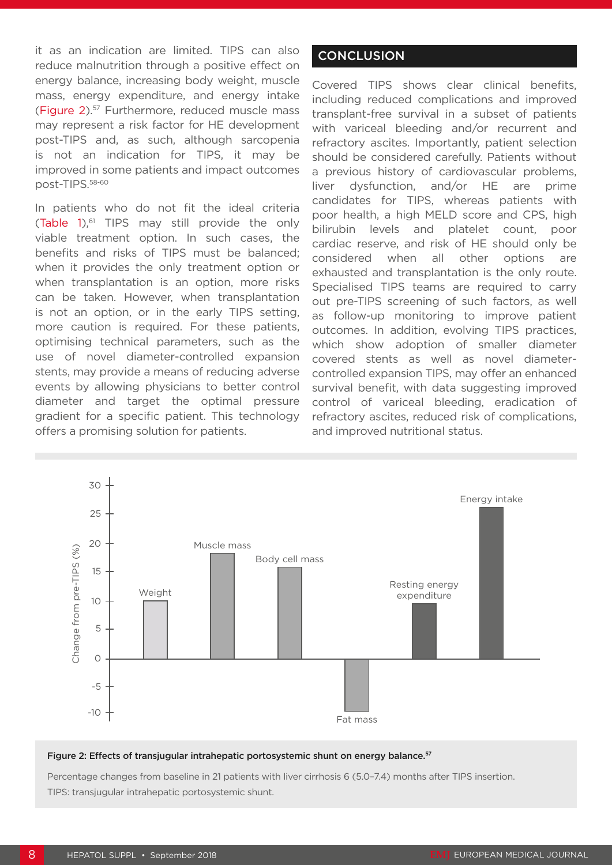it as an indication are limited. TIPS can also reduce malnutrition through a positive effect on energy balance, increasing body weight, muscle mass, energy expenditure, and energy intake (Figure 2).57 Furthermore, reduced muscle mass may represent a risk factor for HE development post-TIPS and, as such, although sarcopenia is not an indication for TIPS, it may be improved in some patients and impact outcomes post-TIPS.58-60

In patients who do not fit the ideal criteria (Table 1), $61$  TIPS may still provide the only viable treatment option. In such cases, the benefits and risks of TIPS must be balanced; when it provides the only treatment option or when transplantation is an option, more risks can be taken. However, when transplantation is not an option, or in the early TIPS setting, more caution is required. For these patients, optimising technical parameters, such as the use of novel diameter-controlled expansion stents, may provide a means of reducing adverse events by allowing physicians to better control diameter and target the optimal pressure gradient for a specific patient. This technology offers a promising solution for patients.

## **CONCLUSION**

Covered TIPS shows clear clinical benefits, including reduced complications and improved transplant-free survival in a subset of patients with variceal bleeding and/or recurrent and refractory ascites. Importantly, patient selection should be considered carefully. Patients without a previous history of cardiovascular problems, liver dysfunction, and/or HE are prime candidates for TIPS, whereas patients with poor health, a high MELD score and CPS, high bilirubin levels and platelet count, poor cardiac reserve, and risk of HE should only be considered when all other options are exhausted and transplantation is the only route. Specialised TIPS teams are required to carry out pre-TIPS screening of such factors, as well as follow-up monitoring to improve patient outcomes. In addition, evolving TIPS practices, which show adoption of smaller diameter covered stents as well as novel diametercontrolled expansion TIPS, may offer an enhanced survival benefit, with data suggesting improved control of variceal bleeding, eradication of refractory ascites, reduced risk of complications, and improved nutritional status.



#### Figure 2: Effects of transjugular intrahepatic portosystemic shunt on energy balance.<sup>57</sup>

Percentage changes from baseline in 21 patients with liver cirrhosis 6 (5.0–7.4) months after TIPS insertion. TIPS: transjugular intrahepatic portosystemic shunt.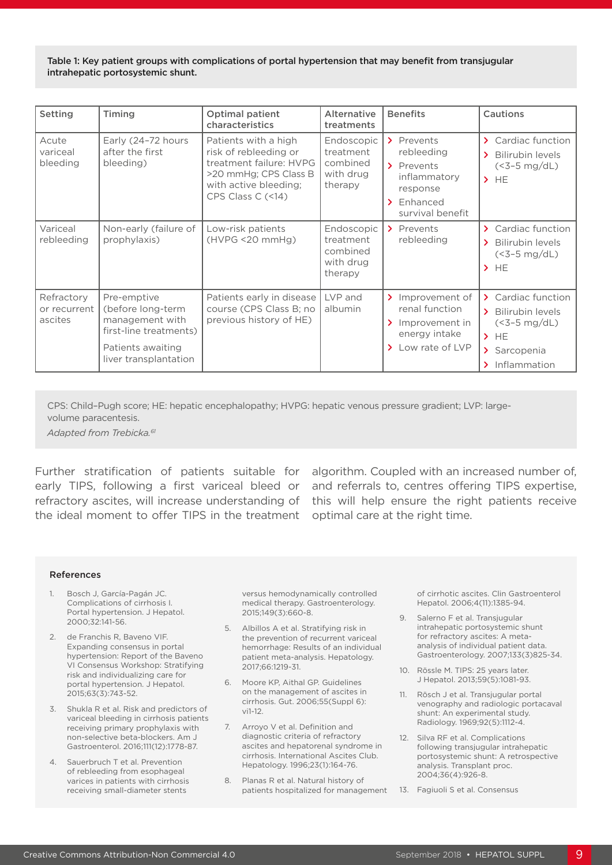Table 1: Key patient groups with complications of portal hypertension that may benefit from transjugular intrahepatic portosystemic shunt.

| Setting                                 | Timing                                                                                                                      | <b>Optimal patient</b><br>characteristics                                                                                                                                     | Alternative<br>treatments                                   | <b>Benefits</b>                                                                                           | Cautions                                                                                             |
|-----------------------------------------|-----------------------------------------------------------------------------------------------------------------------------|-------------------------------------------------------------------------------------------------------------------------------------------------------------------------------|-------------------------------------------------------------|-----------------------------------------------------------------------------------------------------------|------------------------------------------------------------------------------------------------------|
| Acute<br>variceal<br>bleeding           | Early (24-72 hours<br>after the first<br>bleeding)                                                                          | Patients with a high<br>risk of rebleeding or<br>treatment failure: HVPG<br>>20 mmHg; CPS Class B<br>with active bleeding;<br>CPS Class $C \left( \langle 14 \rangle \right)$ | Endoscopic<br>treatment<br>combined<br>with drug<br>therapy | > Prevents<br>rebleeding<br>> Prevents<br>inflammatory<br>response<br>$\sum$ Enhanced<br>survival benefit | > Cardiac function<br>> Bilirubin levels<br>$(<3-5$ mg/dL)<br>$>$ HE                                 |
| Variceal<br>rebleeding                  | Non-early (failure of<br>prophylaxis)                                                                                       | Low-risk patients<br>$(HVPG \leq 20 mmHq)$                                                                                                                                    | Endoscopic<br>treatment<br>combined<br>with drug<br>therapy | > Prevents<br>rebleeding                                                                                  | Cardiac function<br>$\sum$<br>> Bilirubin levels<br>$(<3-5$ mg/dL)<br>$>$ HE                         |
| Refractory<br>or recurrent  <br>ascites | Pre-emptive<br>(before long-term<br>management with<br>first-line treatments)<br>Patients awaiting<br>liver transplantation | Patients early in disease<br>course (CPS Class B; no<br>previous history of HE)                                                                                               | LVP and<br>albumin                                          | > Improvement of<br>renal function<br>Improvement in<br>⋗<br>energy intake<br>Low rate of LVP             | > Cardiac function<br>> Bilirubin levels<br>$(<3-5$ mg/dL)<br>$>$ HE<br>> Sarcopenia<br>Inflammation |

CPS: Child–Pugh score; HE: hepatic encephalopathy; HVPG: hepatic venous pressure gradient; LVP: largevolume paracentesis.

*Adapted from Trebicka.61*

Further stratification of patients suitable for algorithm. Coupled with an increased number of, early TIPS, following a first variceal bleed or and referrals to, centres offering TIPS expertise, refractory ascites, will increase understanding of this will help ensure the right patients receive the ideal moment to offer TIPS in the treatment optimal care at the right time.

#### References

- 1. Bosch J, García-Pagán JC. Complications of cirrhosis I. Portal hypertension. J Hepatol. 2000;32:141-56.
- 2. de Franchis R, Baveno VIF. Expanding consensus in portal hypertension: Report of the Baveno VI Consensus Workshop: Stratifying risk and individualizing care for portal hypertension. J Hepatol. 2015;63(3):743-52.
- 3. Shukla R et al. Risk and predictors of variceal bleeding in cirrhosis patients receiving primary prophylaxis with non-selective beta-blockers. Am J Gastroenterol. 2016;111(12):1778-87.
- 4. Sauerbruch T et al. Prevention of rebleeding from esophageal varices in patients with cirrhosis receiving small-diameter stents

versus hemodynamically controlled medical therapy. Gastroenterology. 2015;149(3):660-8.

- 5. Albillos A et al. Stratifying risk in the prevention of recurrent variceal hemorrhage: Results of an individual patient meta-analysis. Hepatology. 2017;66:1219-31.
- 6. Moore KP, Aithal GP. Guidelines on the management of ascites in cirrhosis. Gut. 2006;55(Suppl 6): vi1-12.
- 7. Arroyo V et al. Definition and diagnostic criteria of refractory ascites and hepatorenal syndrome in cirrhosis. International Ascites Club. Hepatology. 1996;23(1):164-76.
- 8. Planas R et al. Natural history of patients hospitalized for management 13. Fagiuoli S et al. Consensus

of cirrhotic ascites. Clin Gastroenterol Hepatol. 2006;4(11):1385-94.

- 9. Salerno F et al. Transjugular intrahepatic portosystemic shunt for refractory ascites: A metaanalysis of individual patient data. Gastroenterology. 2007;133(3)825-34.
- 10. Rössle M. TIPS: 25 years later. J Hepatol. 2013;59(5):1081-93.
- 11. Rösch J et al. Transjugular portal venography and radiologic portacaval shunt: An experimental study. Radiology. 1969;92(5):1112-4.
- 12. Silva RF et al. Complications following transjugular intrahepatic portosystemic shunt: A retrospective analysis. Transplant proc. 2004;36(4):926-8.
-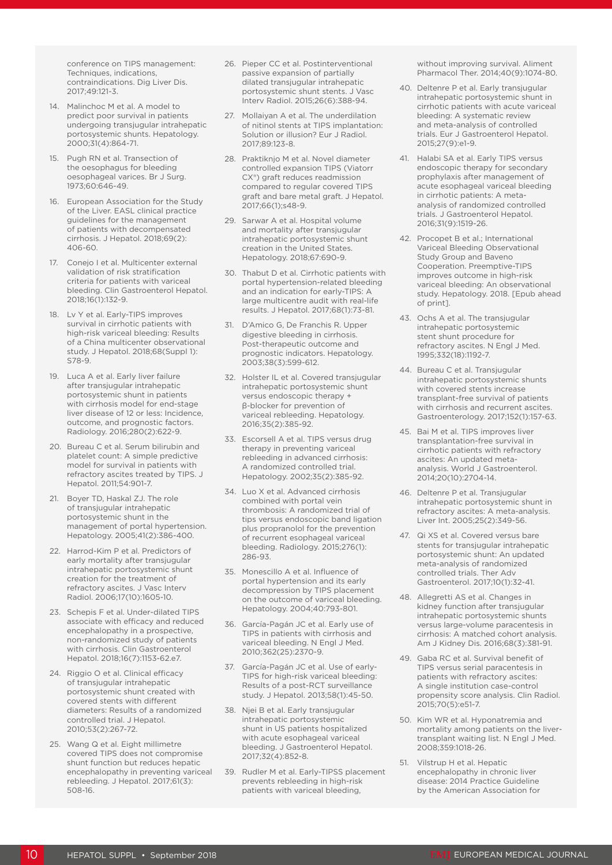conference on TIPS management: Techniques, indications, contraindications. Dig Liver Dis. 2017;49:121-3.

- 14. Malinchoc M et al. A model to predict poor survival in patients undergoing transjugular intrahepatic portosystemic shunts. Hepatology. 2000;31(4):864-71.
- 15. Pugh RN et al. Transection of the oesophagus for bleeding oesophageal varices. Br J Surg. 1973;60:646-49.
- 16. European Association for the Study of the Liver. EASL clinical practice guidelines for the management of patients with decompensated cirrhosis. J Hepatol. 2018;69(2): 406-60.
- 17. Conejo I et al. Multicenter external validation of risk stratification criteria for patients with variceal bleeding. Clin Gastroenterol Hepatol. 2018;16(1):132-9.
- 18. Lv Y et al. Early-TIPS improves survival in cirrhotic patients with high-risk variceal bleeding: Results of a China multicenter observational study. J Hepatol. 2018;68(Suppl 1): S78-9.
- 19. Luca A et al. Early liver failure after transjugular intrahepatic portosystemic shunt in patients with cirrhosis model for end-stage liver disease of 12 or less: Incidence, outcome, and prognostic factors. Radiology. 2016;280(2):622-9.
- 20. Bureau C et al. Serum bilirubin and platelet count: A simple predictive model for survival in patients with refractory ascites treated by TIPS. J Hepatol. 2011;54:901-7.
- 21. Boyer TD, Haskal ZJ. The role of transjugular intrahepatic portosystemic shunt in the management of portal hypertension. Hepatology. 2005;41(2):386-400.
- 22. Harrod-Kim P et al. Predictors of early mortality after transjugular intrahepatic portosystemic shunt creation for the treatment of refractory ascites. J Vasc Interv Radiol. 2006;17(10):1605-10.
- 23. Schepis F et al. Under-dilated TIPS associate with efficacy and reduced encephalopathy in a prospective, non-randomized study of patients with cirrhosis. Clin Gastroenterol Hepatol. 2018;16(7):1153-62.e7.
- 24. Riggio O et al. Clinical efficacy of transjugular intrahepatic portosystemic shunt created with covered stents with different diameters: Results of a randomized controlled trial. J Hepatol. 2010;53(2):267-72.
- 25. Wang Q et al. Eight millimetre covered TIPS does not compromise shunt function but reduces hepatic encephalopathy in preventing variceal rebleeding. J Hepatol. 2017;61(3): 508-16.
- 26. Pieper CC et al. Postinterventional passive expansion of partially dilated transjugular intrahepatic portosystemic shunt stents. J Vasc Interv Radiol. 2015;26(6):388-94.
- 27. Mollaiyan A et al. The underdilation of nitinol stents at TIPS implantation: Solution or illusion? Eur J Radiol. 2017;89:123-8.
- 28. Praktiknjo M et al. Novel diameter controlled expansion TIPS (Viatorr CX<sup>®</sup>) graft reduces readmission compared to regular covered TIPS graft and bare metal graft. J Hepatol. 2017;66(1);s48-9.
- 29. Sarwar A et al. Hospital volume and mortality after transjugular intrahepatic portosystemic shunt creation in the United States. Hepatology. 2018;67:690-9.
- 30. Thabut D et al. Cirrhotic patients with portal hypertension-related bleeding and an indication for early-TIPS: A large multicentre audit with real-life results. J Hepatol. 2017;68(1):73-81.
- 31. D'Amico G, De Franchis R. Upper digestive bleeding in cirrhosis. Post-therapeutic outcome and prognostic indicators. Hepatology. 2003;38(3):599-612.
- 32. Holster IL et al. Covered transjugular intrahepatic portosystemic shunt versus endoscopic therapy + β-blocker for prevention of .<br>variceal rebleeding. Hepatology. 2016;35(2):385-92.
- 33. Escorsell A et al. TIPS versus drug therapy in preventing variceal rebleeding in advanced cirrhosis: A randomized controlled trial. Hepatology. 2002;35(2):385-92.
- 34. Luo X et al. Advanced cirrhosis combined with portal vein thrombosis: A randomized trial of tips versus endoscopic band ligation plus propranolol for the prevention of recurrent esophageal variceal bleeding. Radiology. 2015;276(1): 286-93.
- 35. Monescillo A et al. Influence of portal hypertension and its early decompression by TIPS placement on the outcome of variceal bleeding. Hepatology. 2004;40:793-801.
- 36. García-Pagán JC et al. Early use of TIPS in patients with cirrhosis and variceal bleeding. N Engl J Med. 2010;362(25):2370-9.
- 37. García-Pagán JC et al. Use of early-TIPS for high-risk variceal bleeding: Results of a post-RCT surveillance study. J Hepatol. 2013;58(1):45-50.
- 38. Njei B et al. Early transjugular intrahepatic portosystemic shunt in US patients hospitalized with acute esophageal variceal bleeding. J Gastroenterol Hepatol. 2017;32(4):852-8.
- 39. Rudler M et al. Early-TIPSS placement prevents rebleeding in high-risk patients with variceal bleeding,

without improving survival. Aliment Pharmacol Ther. 2014;40(9):1074-80.

- 40. Deltenre P et al. Early transjugular intrahepatic portosystemic shunt in cirrhotic patients with acute variceal bleeding: A systematic review and meta-analysis of controlled trials. Eur J Gastroenterol Hepatol. 2015;27(9):e1-9.
- 41. Halabi SA et al. Early TIPS versus endoscopic therapy for secondary prophylaxis after management of acute esophageal variceal bleeding in cirrhotic patients: A metaanalysis of randomized controlled trials. J Gastroenterol Hepatol. 2016;31(9):1519-26.
- 42. Procopet B et al.; International Variceal Bleeding Observational Study Group and Baveno Cooperation. Preemptive-TIPS improves outcome in high-risk variceal bleeding: An observational study. Hepatology. 2018. [Epub ahead of print].
- 43. Ochs A et al. The transjugular intrahepatic portosystemic stent shunt procedure for refractory ascites. N Engl J Med. 1995;332(18):1192-7.
- 44. Bureau C et al. Transjugular intrahepatic portosystemic shunts with covered stents increase transplant-free survival of patients with cirrhosis and recurrent ascites. Gastroenterology. 2017;152(1):157-63.
- 45. Bai M et al. TIPS improves liver transplantation-free survival in cirrhotic patients with refractory ascites: An updated metaanalysis. World J Gastroenterol. 2014;20(10):2704-14.
- 46. Deltenre P et al. Transjugular intrahepatic portosystemic shunt in refractory ascites: A meta-analysis. Liver Int. 2005;25(2):349-56.
- 47. Qi XS et al. Covered versus bare stents for transjugular intrahepatic portosystemic shunt: An updated meta-analysis of randomized controlled trials. Ther Adv Gastroenterol. 2017;10(1):32-41.
- 48. Allegretti AS et al. Changes in kidney function after transjugular intrahepatic portosystemic shunts versus large-volume paracentesis in cirrhosis: A matched cohort analysis. Am J Kidney Dis. 2016;68(3):381-91.
- 49. Gaba RC et al. Survival benefit of TIPS versus serial paracentesis in patients with refractory ascites: A single institution case-control propensity score analysis. Clin Radiol. 2015;70(5):e51-7.
- 50. Kim WR et al. Hyponatremia and mortality among patients on the livertransplant waiting list. N Engl J Med. 2008;359:1018-26.
- 51. Vilstrup H et al. Hepatic encephalopathy in chronic liver disease: 2014 Practice Guideline by the American Association for